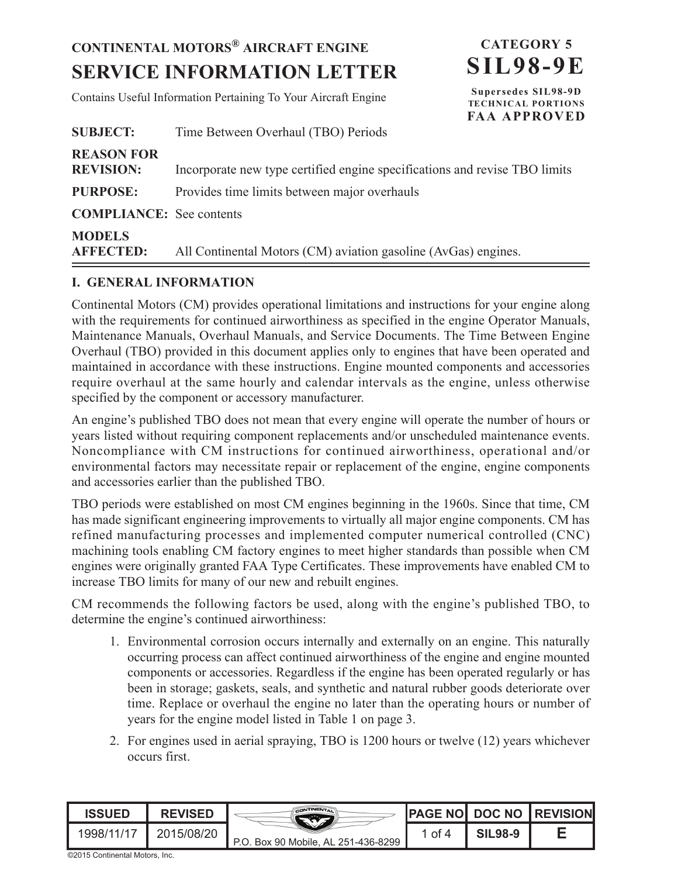## **CONTINENTAL MOTORS® AIRCRAFT ENGINE SERVICE INFORMATION LETTER**

Contains Useful Information Pertaining To Your Aircraft Engine

**CATEGORY 5 SIL98-9E Supersedes SIL98-9D**

**TECHNICAL PORTIONS**

**FAA APPROVED SUBJECT:** Time Between Overhaul (TBO) Periods **REASON FOR REVISION:** Incorporate new type certified engine specifications and revise TBO limits **PURPOSE:** Provides time limits between major overhauls **COMPLIANCE:** See contents **MODELS AFFECTED:** All Continental Motors (CM) aviation gasoline (AvGas) engines.

## **I. GENERAL INFORMATION**

Continental Motors (CM) provides operational limitations and instructions for your engine along with the requirements for continued airworthiness as specified in the engine Operator Manuals, Maintenance Manuals, Overhaul Manuals, and Service Documents. The Time Between Engine Overhaul (TBO) provided in this document applies only to engines that have been operated and maintained in accordance with these instructions. Engine mounted components and accessories require overhaul at the same hourly and calendar intervals as the engine, unless otherwise specified by the component or accessory manufacturer.

An engine's published TBO does not mean that every engine will operate the number of hours or years listed without requiring component replacements and/or unscheduled maintenance events. Noncompliance with CM instructions for continued airworthiness, operational and/or environmental factors may necessitate repair or replacement of the engine, engine components and accessories earlier than the published TBO.

TBO periods were established on most CM engines beginning in the 1960s. Since that time, CM has made significant engineering improvements to virtually all major engine components. CM has refined manufacturing processes and implemented computer numerical controlled (CNC) machining tools enabling CM factory engines to meet higher standards than possible when CM engines were originally granted FAA Type Certificates. These improvements have enabled CM to increase TBO limits for many of our new and rebuilt engines.

CM recommends the following factors be used, along with the engine's published TBO, to determine the engine's continued airworthiness:

- 1. Environmental corrosion occurs internally and externally on an engine. This naturally occurring process can affect continued airworthiness of the engine and engine mounted components or accessories. Regardless if the engine has been operated regularly or has been in storage; gaskets, seals, and synthetic and natural rubber goods deteriorate over time. Replace or overhaul the engine no later than the operating hours or number of years for the engine model listed in Table 1 on page 3.
- 2. For engines used in aerial spraying, TBO is 1200 hours or twelve (12) years whichever occurs first.

| ISSUED     | <b>REVISED</b> | CONTINENTAL                    |      |                | <b>PAGE NO DOC NO REVISION</b> |
|------------|----------------|--------------------------------|------|----------------|--------------------------------|
| 1998/11/17 | 2015/08/20     | Box 90 Mobile, AL 251-436-8299 | ot 4 | <b>SIL98-9</b> |                                |

©2015 Continental Motors, Inc.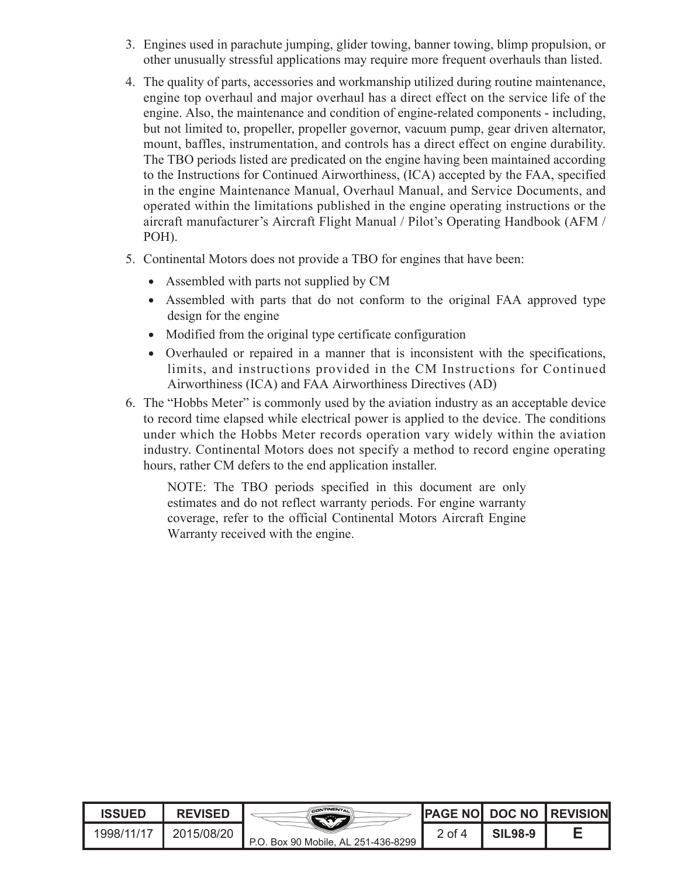- 3. Engines used in parachute jumping, glider towing, banner towing, blimp propulsion, or other unusually stressful applications may require more frequent overhauls than listed.
- 4. The quality of parts, accessories and workmanship utilized during routine maintenance, engine top overhaul and major overhaul has a direct effect on the service life of the engine. Also, the maintenance and condition of engine-related components - including, but not limited to, propeller, propeller governor, vacuum pump, gear driven alternator, mount, baffles, instrumentation, and controls has a direct effect on engine durability. The TBO periods listed are predicated on the engine having been maintained according to the Instructions for Continued Airworthiness, (ICA) accepted by the FAA, specified in the engine Maintenance Manual, Overhaul Manual, and Service Documents, and operated within the limitations published in the engine operating instructions or the aircraft manufacturer's Aircraft Flight Manual / Pilot's Operating Handbook (AFM / POH).
- 5. Continental Motors does not provide a TBO for engines that have been:
	- **•** Assembled with parts not supplied by CM
	- **•** Assembled with parts that do not conform to the original FAA approved type design for the engine
	- Modified from the original type certificate configuration
	- **•** Overhauled or repaired in a manner that is inconsistent with the specifications, limits, and instructions provided in the CM Instructions for Continued Airworthiness (ICA) and FAA Airworthiness Directives (AD)
- 6. The "Hobbs Meter" is commonly used by the aviation industry as an acceptable device to record time elapsed while electrical power is applied to the device. The conditions under which the Hobbs Meter records operation vary widely within the aviation industry. Continental Motors does not specify a method to record engine operating hours, rather CM defers to the end application installer.

NOTE: The TBO periods specified in this document are only estimates and do not reflect warranty periods. For engine warranty coverage, refer to the official Continental Motors Aircraft Engine Warranty received with the engine.

| ISSUED     | <b>REVISED</b> | CONTINENTAL                            |        |                | <b>PAGE NOI DOC NO I REVISION</b> |
|------------|----------------|----------------------------------------|--------|----------------|-----------------------------------|
| 1998/11/17 | 2015/08/20     | Box 90 Mobile, AL 251-436-8299<br>P.O. | 2 of 4 | <b>SIL98-9</b> |                                   |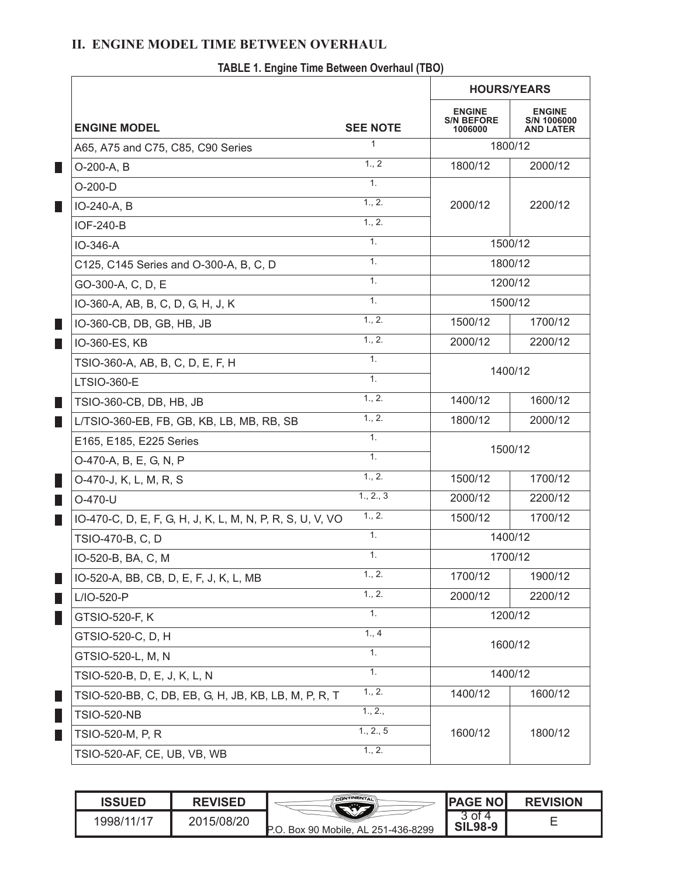## **II. ENGINE MODEL TIME BETWEEN OVERHAUL**

|                                                           |                  | <b>HOURS/YEARS</b>                            |                                                         |  |
|-----------------------------------------------------------|------------------|-----------------------------------------------|---------------------------------------------------------|--|
| <b>ENGINE MODEL</b>                                       | <b>SEE NOTE</b>  | <b>ENGINE</b><br><b>S/N BEFORE</b><br>1006000 | <b>ENGINE</b><br><b>S/N 1006000</b><br><b>AND LATER</b> |  |
| A65, A75 and C75, C85, C90 Series                         | 1                |                                               | 1800/12                                                 |  |
| O-200-A, B                                                | 1., 2            | 1800/12                                       | 2000/12                                                 |  |
| $O-200-D$                                                 | $\overline{1}$ . |                                               |                                                         |  |
| IO-240-A, B                                               | 1., 2.           | 2000/12                                       | 2200/12                                                 |  |
| <b>IOF-240-B</b>                                          | 1., 2.           |                                               |                                                         |  |
| IO-346-A                                                  | 1.               |                                               | 1500/12                                                 |  |
| C125, C145 Series and O-300-A, B, C, D                    | 1.               |                                               | 1800/12                                                 |  |
| GO-300-A, C, D, E                                         | 1.               |                                               | 1200/12                                                 |  |
| IO-360-A, AB, B, C, D, G, H, J, K                         | 1.               |                                               | 1500/12                                                 |  |
| IO-360-CB, DB, GB, HB, JB                                 | 1., 2.           | 1500/12                                       | 1700/12                                                 |  |
| IO-360-ES, KB                                             | 1., 2.           | 2000/12                                       | 2200/12                                                 |  |
| TSIO-360-A, AB, B, C, D, E, F, H                          | $\overline{1}$ . |                                               | 1400/12                                                 |  |
| <b>LTSIO-360-E</b>                                        | $\overline{1}$ . |                                               |                                                         |  |
| TSIO-360-CB, DB, HB, JB                                   | 1., 2.           | 1400/12                                       | 1600/12                                                 |  |
| L/TSIO-360-EB, FB, GB, KB, LB, MB, RB, SB                 | 1, 2.            | 1800/12                                       | 2000/12                                                 |  |
| E165, E185, E225 Series                                   | 1.               |                                               | 1500/12                                                 |  |
| O-470-A, B, E, G, N, P                                    | 1.               |                                               |                                                         |  |
| O-470-J, K, L, M, R, S                                    | 1., 2.           | 1500/12                                       | 1700/12                                                 |  |
| O-470-U                                                   | 1., 2., 3        | 2000/12                                       | 2200/12                                                 |  |
| IO-470-C, D, E, F, G, H, J, K, L, M, N, P, R, S, U, V, VO | 1., 2.           | 1500/12                                       | 1700/12                                                 |  |
| TSIO-470-B, C, D                                          | $\overline{1}$ . |                                               | 1400/12                                                 |  |
| IO-520-B, BA, C, M                                        | 1.               |                                               | 1700/12                                                 |  |
| IO-520-A, BB, CB, D, E, F, J, K, L, MB                    | 1., 2.           | 1700/12                                       | 1900/12                                                 |  |
| L/IO-520-P                                                | 1., 2.           | 2000/12                                       | 2200/12                                                 |  |
| GTSIO-520-F, K                                            | $\overline{1}$ . |                                               | 1200/12                                                 |  |
| GTSIO-520-C, D, H                                         | 1, 4             | 1600/12                                       |                                                         |  |
| GTSIO-520-L, M, N                                         | 1.               |                                               |                                                         |  |
| TSIO-520-B, D, E, J, K, L, N                              | $\overline{1}$ . |                                               | 1400/12                                                 |  |
| TSIO-520-BB, C, DB, EB, G, H, JB, KB, LB, M, P, R, T      | 1., 2.           | 1400/12                                       | 1600/12                                                 |  |
| <b>TSIO-520-NB</b>                                        | 1., 2.,          |                                               |                                                         |  |
| TSIO-520-M, P, R                                          | 1., 2., 5        | 1600/12                                       | 1800/12                                                 |  |
| TSIO-520-AF, CE, UB, VB, WB                               | 1., 2.           |                                               |                                                         |  |

**TABLE 1. Engine Time Between Overhaul (TBO)**

| ISSUED     | <b>REVISED</b> | CONTINENTAL                    | <b>IPAGE NOI</b> | <b>REVISION</b> |
|------------|----------------|--------------------------------|------------------|-----------------|
| 1998/11/17 | 2015/08/20     | Box 90 Mobile, AL 251-436-8299 | <b>SIL98-9</b>   |                 |